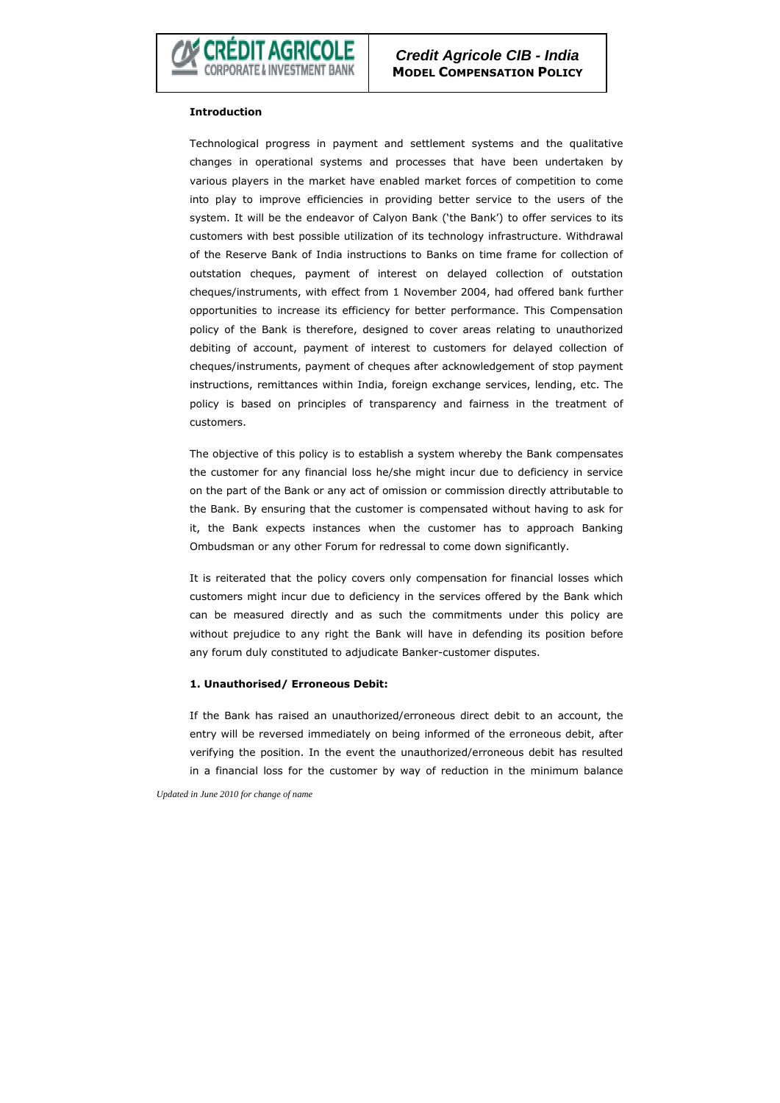

#### **Introduction**

Technological progress in payment and settlement systems and the qualitative changes in operational systems and processes that have been undertaken by various players in the market have enabled market forces of competition to come into play to improve efficiencies in providing better service to the users of the system. It will be the endeavor of Calyon Bank ('the Bank') to offer services to its customers with best possible utilization of its technology infrastructure. Withdrawal of the Reserve Bank of India instructions to Banks on time frame for collection of outstation cheques, payment of interest on delayed collection of outstation cheques/instruments, with effect from 1 November 2004, had offered bank further opportunities to increase its efficiency for better performance. This Compensation policy of the Bank is therefore, designed to cover areas relating to unauthorized debiting of account, payment of interest to customers for delayed collection of cheques/instruments, payment of cheques after acknowledgement of stop payment instructions, remittances within India, foreign exchange services, lending, etc. The policy is based on principles of transparency and fairness in the treatment of customers.

The objective of this policy is to establish a system whereby the Bank compensates the customer for any financial loss he/she might incur due to deficiency in service on the part of the Bank or any act of omission or commission directly attributable to the Bank. By ensuring that the customer is compensated without having to ask for it, the Bank expects instances when the customer has to approach Banking Ombudsman or any other Forum for redressal to come down significantly.

It is reiterated that the policy covers only compensation for financial losses which customers might incur due to deficiency in the services offered by the Bank which can be measured directly and as such the commitments under this policy are without prejudice to any right the Bank will have in defending its position before any forum duly constituted to adjudicate Banker-customer disputes.

### **1. Unauthorised/ Erroneous Debit:**

If the Bank has raised an unauthorized/erroneous direct debit to an account, the entry will be reversed immediately on being informed of the erroneous debit, after verifying the position. In the event the unauthorized/erroneous debit has resulted in a financial loss for the customer by way of reduction in the minimum balance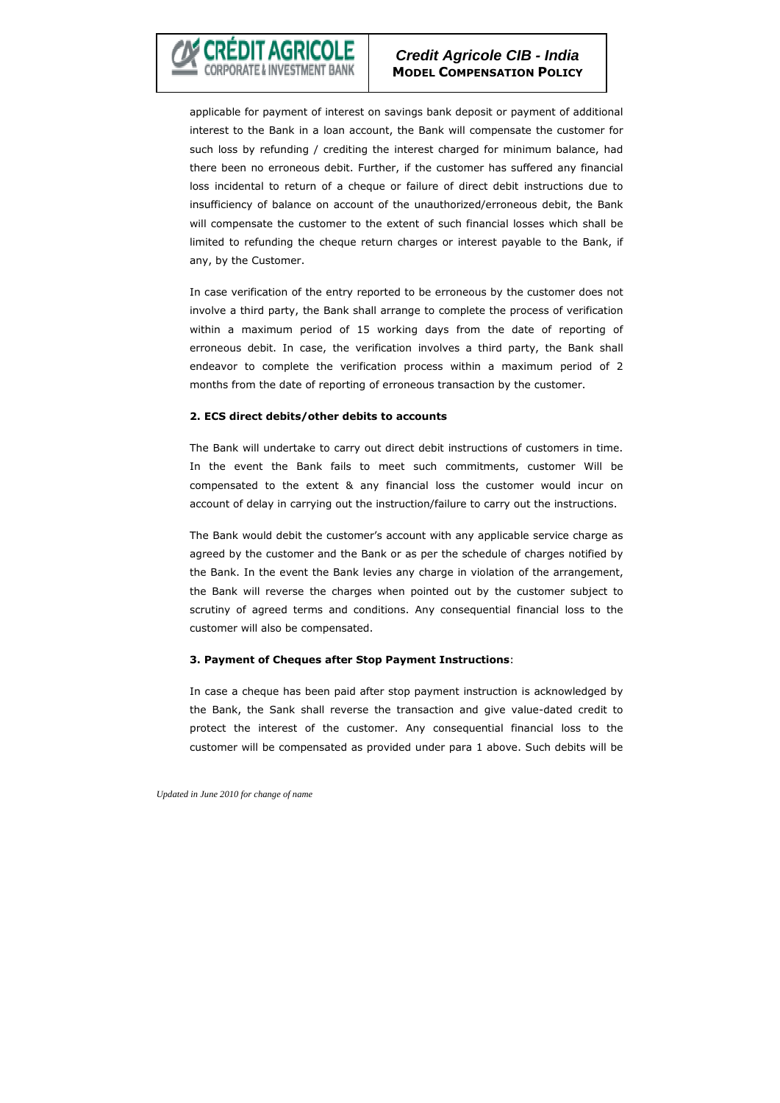

applicable for payment of interest on savings bank deposit or payment of additional interest to the Bank in a loan account, the Bank will compensate the customer for such loss by refunding / crediting the interest charged for minimum balance, had there been no erroneous debit. Further, if the customer has suffered any financial loss incidental to return of a cheque or failure of direct debit instructions due to insufficiency of balance on account of the unauthorized/erroneous debit, the Bank will compensate the customer to the extent of such financial losses which shall be limited to refunding the cheque return charges or interest payable to the Bank, if any, by the Customer.

In case verification of the entry reported to be erroneous by the customer does not involve a third party, the Bank shall arrange to complete the process of verification within a maximum period of 15 working days from the date of reporting of erroneous debit. In case, the verification involves a third party, the Bank shall endeavor to complete the verification process within a maximum period of 2 months from the date of reporting of erroneous transaction by the customer.

#### **2. ECS direct debits/other debits to accounts**

The Bank will undertake to carry out direct debit instructions of customers in time. In the event the Bank fails to meet such commitments, customer Will be compensated to the extent & any financial loss the customer would incur on account of delay in carrying out the instruction/failure to carry out the instructions.

The Bank would debit the customer's account with any applicable service charge as agreed by the customer and the Bank or as per the schedule of charges notified by the Bank. In the event the Bank levies any charge in violation of the arrangement, the Bank will reverse the charges when pointed out by the customer subject to scrutiny of agreed terms and conditions. Any consequential financial loss to the customer will also be compensated.

### **3. Payment of Cheques after Stop Payment Instructions**:

In case a cheque has been paid after stop payment instruction is acknowledged by the Bank, the Sank shall reverse the transaction and give value-dated credit to protect the interest of the customer. Any consequential financial loss to the customer will be compensated as provided under para 1 above. Such debits will be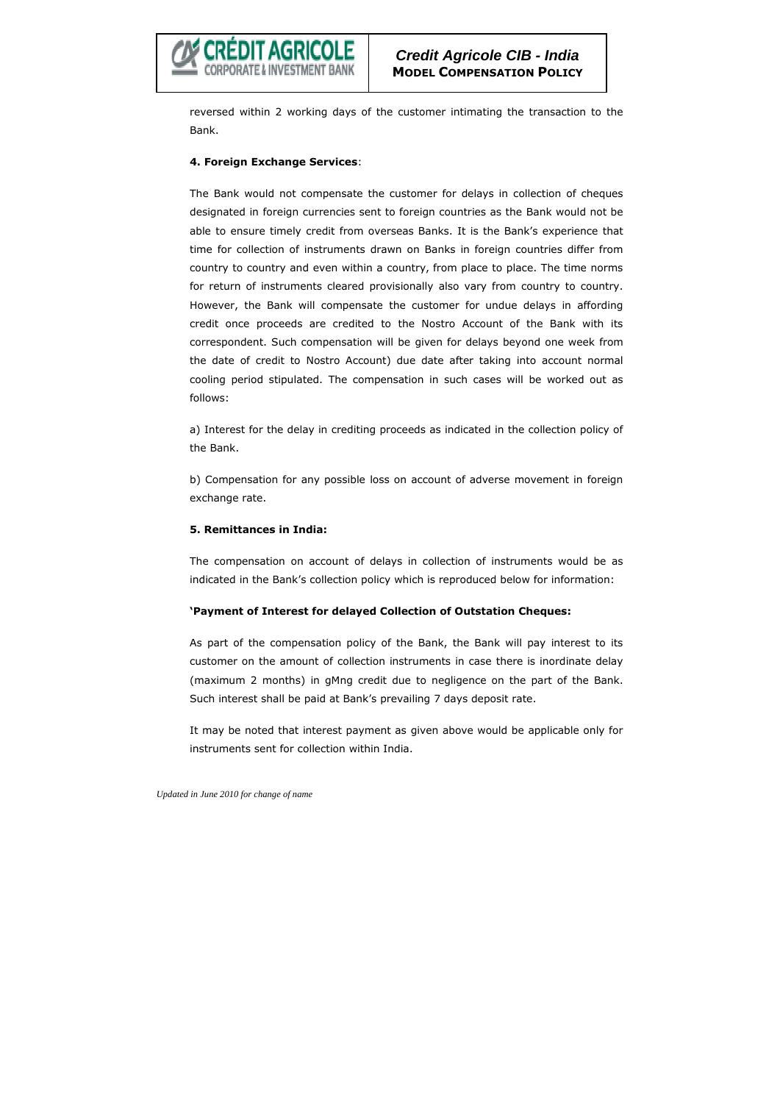

reversed within 2 working days of the customer intimating the transaction to the Bank.

## **4. Foreign Exchange Services**:

The Bank would not compensate the customer for delays in collection of cheques designated in foreign currencies sent to foreign countries as the Bank would not be able to ensure timely credit from overseas Banks. It is the Bank's experience that time for collection of instruments drawn on Banks in foreign countries differ from country to country and even within a country, from place to place. The time norms for return of instruments cleared provisionally also vary from country to country. However, the Bank will compensate the customer for undue delays in affording credit once proceeds are credited to the Nostro Account of the Bank with its correspondent. Such compensation will be given for delays beyond one week from the date of credit to Nostro Account) due date after taking into account normal cooling period stipulated. The compensation in such cases will be worked out as follows:

a) Interest for the delay in crediting proceeds as indicated in the collection policy of the Bank.

b) Compensation for any possible loss on account of adverse movement in foreign exchange rate.

### **5. Remittances in India:**

The compensation on account of delays in collection of instruments would be as indicated in the Bank's collection policy which is reproduced below for information:

### **'Payment of Interest for delayed Collection of Outstation Cheques:**

As part of the compensation policy of the Bank, the Bank will pay interest to its customer on the amount of collection instruments in case there is inordinate delay (maximum 2 months) in gMng credit due to negligence on the part of the Bank. Such interest shall be paid at Bank's prevailing 7 days deposit rate.

It may be noted that interest payment as given above would be applicable only for instruments sent for collection within India.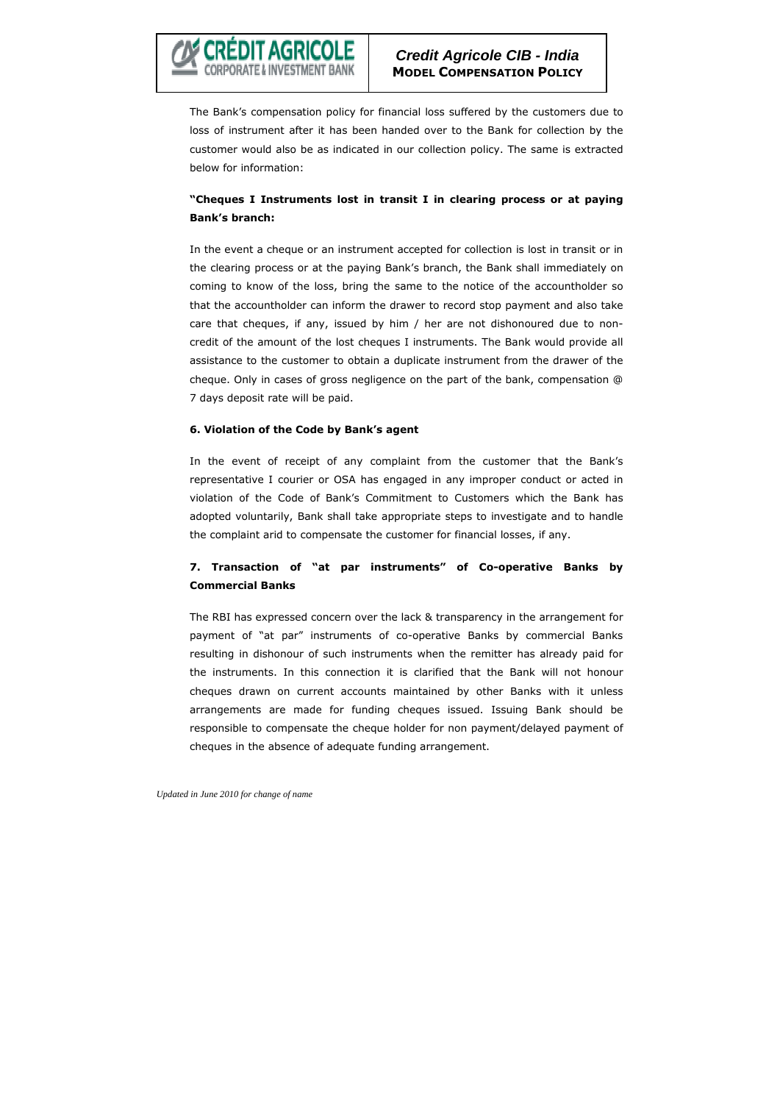

The Bank's compensation policy for financial loss suffered by the customers due to loss of instrument after it has been handed over to the Bank for collection by the customer would also be as indicated in our collection policy. The same is extracted below for information:

# **"Cheques I Instruments lost in transit I in clearing process or at paying Bank's branch:**

In the event a cheque or an instrument accepted for collection is lost in transit or in the clearing process or at the paying Bank's branch, the Bank shall immediately on coming to know of the loss, bring the same to the notice of the accountholder so that the accountholder can inform the drawer to record stop payment and also take care that cheques, if any, issued by him / her are not dishonoured due to noncredit of the amount of the lost cheques I instruments. The Bank would provide all assistance to the customer to obtain a duplicate instrument from the drawer of the cheque. Only in cases of gross negligence on the part of the bank, compensation @ 7 days deposit rate will be paid.

### **6. Violation of the Code by Bank's agent**

In the event of receipt of any complaint from the customer that the Bank's representative I courier or OSA has engaged in any improper conduct or acted in violation of the Code of Bank's Commitment to Customers which the Bank has adopted voluntarily, Bank shall take appropriate steps to investigate and to handle the complaint arid to compensate the customer for financial losses, if any.

# **7. Transaction of "at par instruments" of Co-operative Banks by Commercial Banks**

The RBI has expressed concern over the lack & transparency in the arrangement for payment of "at par" instruments of co-operative Banks by commercial Banks resulting in dishonour of such instruments when the remitter has already paid for the instruments. In this connection it is clarified that the Bank will not honour cheques drawn on current accounts maintained by other Banks with it unless arrangements are made for funding cheques issued. Issuing Bank should be responsible to compensate the cheque holder for non payment/delayed payment of cheques in the absence of adequate funding arrangement.